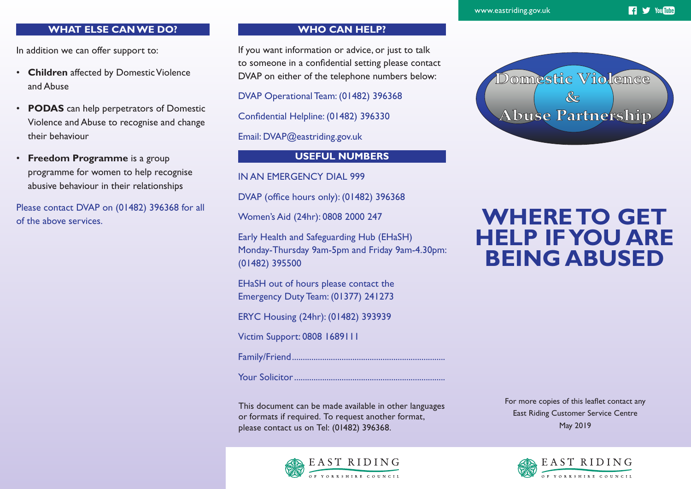**17 Vou Tube** 

# **WHAT ELSE CAN WE DO?**

In addition we can offer support to:

- **Children** affected by Domestic Violence and Abuse
- **PODAS** can help perpetrators of Domestic Violence and Abuse to recognise and change their behaviour
- **Freedom Programme** is a group programme for women to help recognise abusive behaviour in their relationships

Please contact DVAP on (01482) 396368 for all of the above services.

# **WHO CAN HELP?**

If you want information or advice, or just to talk to someone in a confidential setting please contact DVAP on either of the telephone numbers below:

DVAP Operational Team: (01482) 396368

Confidential Helpline: (01482) 396330

Email: DVAP@eastriding.gov.uk

# **USEFUL NUMBERS**

IN AN EMERGENCY DIAL 999

DVAP (office hours only): (01482) 396368

Women's Aid (24hr): 0808 2000 247

Early Health and Safeguarding Hub (EHaSH) Monday-Thursday 9am-5pm and Friday 9am-4.30pm: (01482) 395500

EHaSH out of hours please contact the Emergency Duty Team: (01377) 241273

ERYC Housing (24hr): (01482) 393939

Victim Support: 0808 1689111

Family/Friend.......................................................................

Your Solicitor......................................................................

This document can be made available in other languages or formats if required. To request another format, please contact us on Tel: (01482) 396368.



For more copies of this leaflet contact any East Riding Customer Service Centre May 2019





# **WHERE TO GET HELP IF YOU ARE BEING ABUSED**